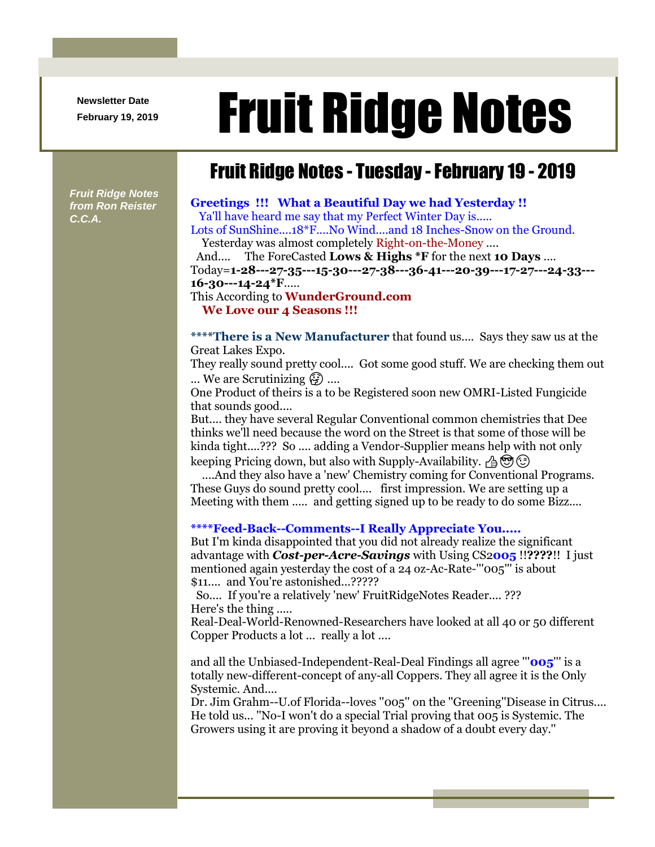**Newsletter Date**

# Newsletter Date **Fruit Ridge Notes**

## Fruit Ridge Notes - Tuesday -February 19 - 2019

*Fruit Ridge Notes from Ron Reister C.C.A.*

#### **Greetings !!! What a Beautiful Day we had Yesterday !!** Ya'll have heard me say that my Perfect Winter Day is.....

Lots of SunShine....18\*F....No Wind....and 18 Inches-Snow on the Ground. Yesterday was almost completely Right-on-the-Money ....

And.... The ForeCasted **Lows & Highs \*F** for the next **10 Days** .... Today=**1-28---27-35---15-30---27-38---36-41---20-39---17-27---24-33--- 16-30---14-24\*F**.....

#### This According to **WunderGround.com We Love our 4 Seasons !!!**

**\*\*\*\*There is a New Manufacturer** that found us.... Says they saw us at the Great Lakes Expo.

They really sound pretty cool.... Got some good stuff. We are checking them out ... We are Scrutinizing  $\mathbb{G}$  ....

One Product of theirs is a to be Registered soon new OMRI-Listed Fungicide that sounds good....

But.... they have several Regular Conventional common chemistries that Dee thinks we'll need because the word on the Street is that some of those will be kinda tight....??? So .... adding a Vendor-Supplier means help with not only keeping Pricing down, but also with Supply-Availability.  $A \otimes \otimes$ 

....And they also have a 'new' Chemistry coming for Conventional Programs. These Guys do sound pretty cool.... first impression. We are setting up a Meeting with them ..... and getting signed up to be ready to do some Bizz....

## **\*\*\*\*Feed-Back--Comments--I Really Appreciate You.....**

But I'm kinda disappointed that you did not already realize the significant advantage with *Cost-per-Acre-Savings* with Using CS2**005** !!**????**!! I just mentioned again yesterday the cost of a 24 oz-Ac-Rate-'''005''' is about \$11.... and You're astonished...?????

So.... If you're a relatively 'new' FruitRidgeNotes Reader.... ??? Here's the thing .....

Real-Deal-World-Renowned-Researchers have looked at all 40 or 50 different Copper Products a lot ... really a lot ....

and all the Unbiased-Independent-Real-Deal Findings all agree '''**005**''' is a totally new-different-concept of any-all Coppers. They all agree it is the Only Systemic. And....

Dr. Jim Grahm--U.of Florida--loves ''005'' on the ''Greening''Disease in Citrus.... He told us... ''No-I won't do a special Trial proving that 005 is Systemic. The Growers using it are proving it beyond a shadow of a doubt every day.''